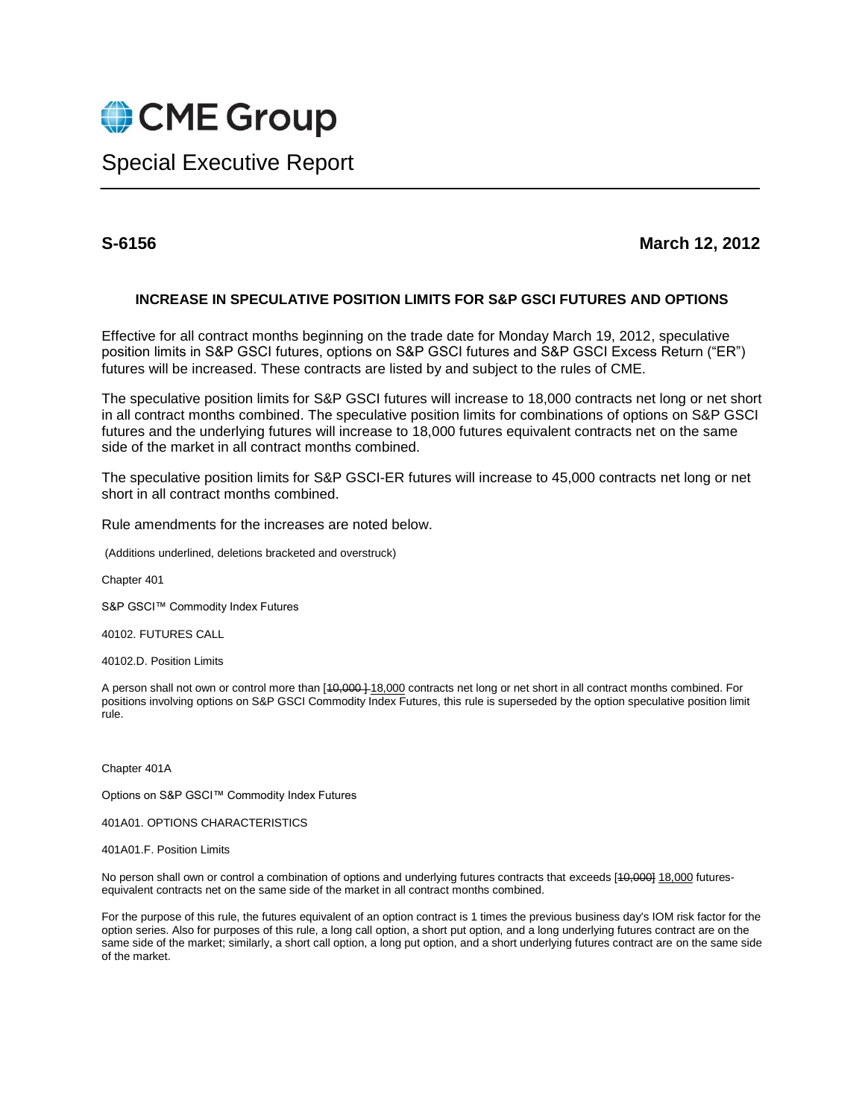

## Special Executive Report

## **S-6156 March 12, 2012**

## **INCREASE IN SPECULATIVE POSITION LIMITS FOR S&P GSCI FUTURES AND OPTIONS**

Effective for all contract months beginning on the trade date for Monday March 19, 2012, speculative position limits in S&P GSCI futures, options on S&P GSCI futures and S&P GSCI Excess Return ("ER") futures will be increased. These contracts are listed by and subject to the rules of CME.

The speculative position limits for S&P GSCI futures will increase to 18,000 contracts net long or net short in all contract months combined. The speculative position limits for combinations of options on S&P GSCI futures and the underlying futures will increase to 18,000 futures equivalent contracts net on the same side of the market in all contract months combined.

The speculative position limits for S&P GSCI-ER futures will increase to 45,000 contracts net long or net short in all contract months combined.

Rule amendments for the increases are noted below.

(Additions underlined, deletions bracketed and overstruck)

Chapter 401

S&P GSCI™ Commodity Index Futures

40102. FUTURES CALL

40102.D. Position Limits

A person shall not own or control more than [40,000 ] 18,000 contracts net long or net short in all contract months combined. For positions involving options on S&P GSCI Commodity Index Futures, this rule is superseded by the option speculative position limit rule.

Chapter 401A

Options on S&P GSCI™ Commodity Index Futures

401A01. OPTIONS CHARACTERISTICS

401A01.F. Position Limits

No person shall own or control a combination of options and underlying futures contracts that exceeds [10,000] 18,000 futuresequivalent contracts net on the same side of the market in all contract months combined.

For the purpose of this rule, the futures equivalent of an option contract is 1 times the previous business day's IOM risk factor for the option series. Also for purposes of this rule, a long call option, a short put option, and a long underlying futures contract are on the same side of the market; similarly, a short call option, a long put option, and a short underlying futures contract are on the same side of the market.